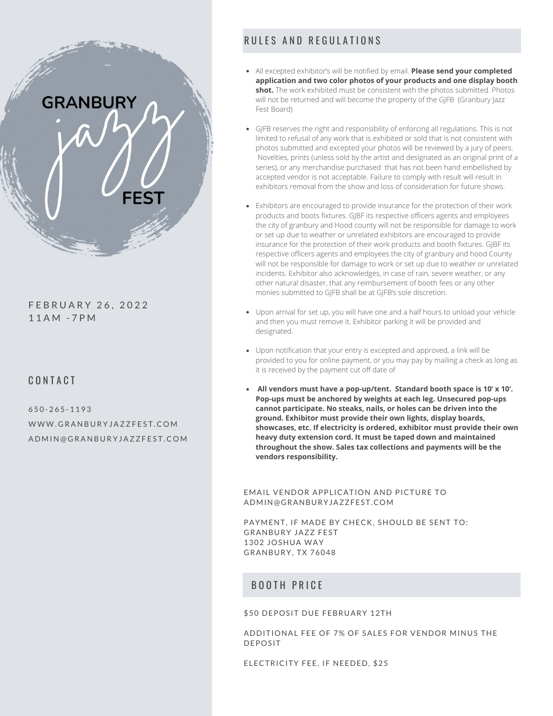

F E B R U A R Y 2 6 , 2 0 2 2 1 1 A M - 7 P M

#### CONTACT

 $650 - 265 - 1193$ WWW. GRANBURYJAZZFEST. COM A D M I N @ G RA N B U R Y JAZ Z F E S T .C O M

# RULES AND REGULATIONS

- All excepted exhibitor's will be notified by email. **Please send your completed application and two color photos of your products and one display booth shot.** The work exhibited must be consistent with the photos submitted. Photos will not be returned and will become the property of the GIFB (Granbury lazz) Fest Board)
- GJFB reserves the right and responsibility of enforcing all regulations. This is not limited to refusal of any work that is exhibited or sold that is not consistent with photos submitted and excepted your photos will be reviewed by a jury of peers. Novelties, prints (unless sold by the artist and designated as an original print of a series), or any merchandise purchased that has not been hand embellished by accepted vendor is not acceptable. Failure to comply with result will result in exhibitors removal from the show and loss of consideration for future shows.
- Exhibitors are encouraged to provide insurance for the protection of their work products and boots fixtures. GJBF its respective officers agents and employees the city of granbury and Hood county will not be responsible for damage to work or set up due to weather or unrelated exhibitors are encouraged to provide insurance for the protection of their work products and booth fixtures. GJBF its respective officers agents and employees the city of granbury and hood County will not be responsible for damage to work or set up due to weather or unrelated incidents. Exhibitor also acknowledges, in case of rain, severe weather, or any other natural disaster, that any reimbursement of booth fees or any other monies submitted to GJFB shall be at GJFB's sole discretion.
- Upon arrival for set up, you will have one and a half hours to unload your vehicle and then you must remove it. Exhibitor parking it will be provided and designated.
- Upon notification that your entry is excepted and approved, a link will be provided to you for online payment, or you may pay by mailing a check as long as it is received by the payment cut off date of
- **All vendors must have a pop-up/tent. Standard booth space is 10' x 10'. Pop-ups must be anchored by weights at each leg. Unsecured pop-ups cannot participate. No steaks, nails, or holes can be driven into the ground. Exhibitor must provide their own lights, display boards, showcases, etc. If electricity is ordered, exhibitor must provide their own heavy duty extension cord. It must be taped down and maintained throughout the show. Sales tax collections and payments will be the vendors responsibility.**

EMAIL VENDOR APPLICATION AND PICTURE TO ADMIN@GRANBURYJAZZFEST.COM

PAYMENT, IF MADE BY CHECK, SHOULD BE SENT TO: GRANBURY JAZZ FEST 1302 JOSHUA WAY GRANBURY, TX 76048

### BOOTH PRICE

#### \$50 DEPOSIT DUE FEBRUARY 12TH

ADDITIONAL FEE OF 7% OF SALES FOR VENDOR MINUS THE DEPOSIT

ELECTRICITY FEE, IF NEEDED, \$25